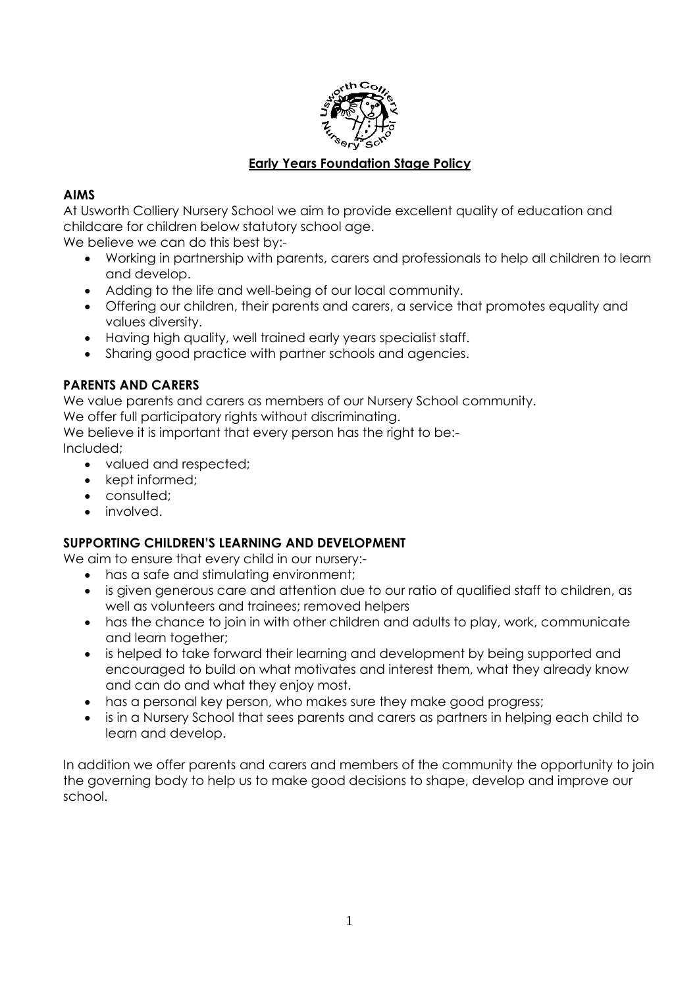

## **Early Years Foundation Stage Policy**

## **AIMS**

At Usworth Colliery Nursery School we aim to provide excellent quality of education and childcare for children below statutory school age.

We believe we can do this best by:-

- Working in partnership with parents, carers and professionals to help all children to learn and develop.
- Adding to the life and well-being of our local community.
- Offering our children, their parents and carers, a service that promotes equality and values diversity.
- Having high quality, well trained early years specialist staff.
- Sharing good practice with partner schools and agencies.

## **PARENTS AND CARERS**

We value parents and carers as members of our Nursery School community.

We offer full participatory rights without discriminating.

We believe it is important that every person has the right to be:-

Included;

- valued and respected;
- kept informed;
- consulted:
- **·** involved.

## **SUPPORTING CHILDREN'S LEARNING AND DEVELOPMENT**

We aim to ensure that every child in our nursery:-

- has a safe and stimulating environment;
- is given generous care and attention due to our ratio of qualified staff to children, as well as volunteers and trainees; removed helpers
- has the chance to join in with other children and adults to play, work, communicate and learn together;
- is helped to take forward their learning and development by being supported and encouraged to build on what motivates and interest them, what they already know and can do and what they enjoy most.
- has a personal key person, who makes sure they make good progress;
- is in a Nursery School that sees parents and carers as partners in helping each child to learn and develop.

In addition we offer parents and carers and members of the community the opportunity to join the governing body to help us to make good decisions to shape, develop and improve our school.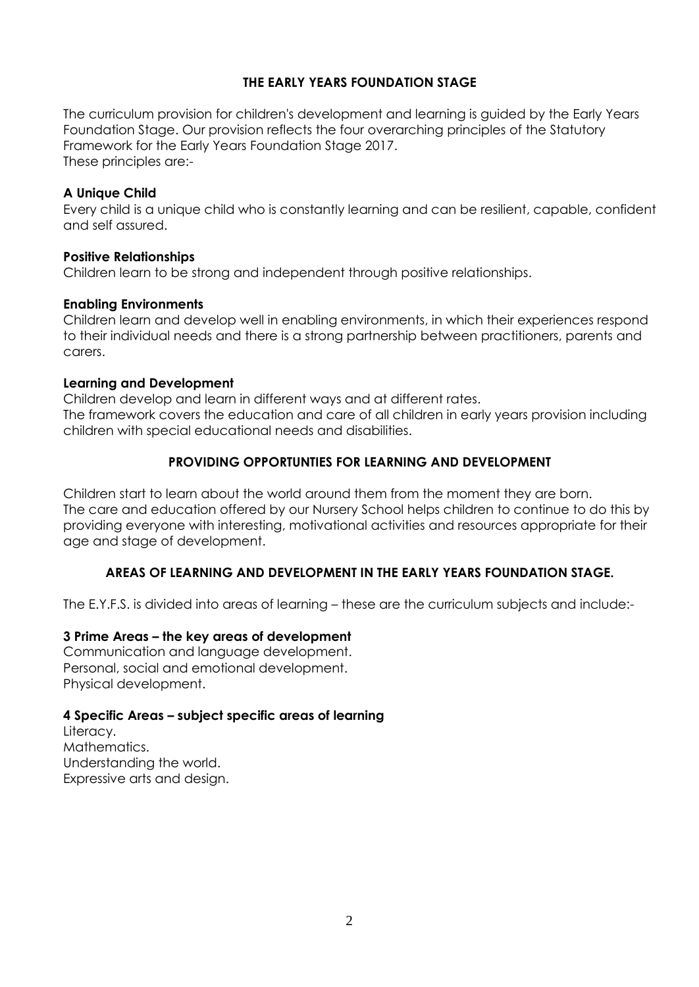## **THE EARLY YEARS FOUNDATION STAGE**

The curriculum provision for children's development and learning is guided by the Early Years Foundation Stage. Our provision reflects the four overarching principles of the Statutory Framework for the Early Years Foundation Stage 2017. These principles are:-

#### **A Unique Child**

Every child is a unique child who is constantly learning and can be resilient, capable, confident and self assured.

#### **Positive Relationships**

Children learn to be strong and independent through positive relationships.

#### **Enabling Environments**

Children learn and develop well in enabling environments, in which their experiences respond to their individual needs and there is a strong partnership between practitioners, parents and carers.

#### **Learning and Development**

Children develop and learn in different ways and at different rates. The framework covers the education and care of all children in early years provision including children with special educational needs and disabilities.

## **PROVIDING OPPORTUNTIES FOR LEARNING AND DEVELOPMENT**

Children start to learn about the world around them from the moment they are born. The care and education offered by our Nursery School helps children to continue to do this by providing everyone with interesting, motivational activities and resources appropriate for their age and stage of development.

## **AREAS OF LEARNING AND DEVELOPMENT IN THE EARLY YEARS FOUNDATION STAGE.**

The E.Y.F.S. is divided into areas of learning – these are the curriculum subjects and include:-

## **3 Prime Areas – the key areas of development**

Communication and language development. Personal, social and emotional development. Physical development.

## **4 Specific Areas – subject specific areas of learning**

Literacy. Mathematics. Understanding the world. Expressive arts and design.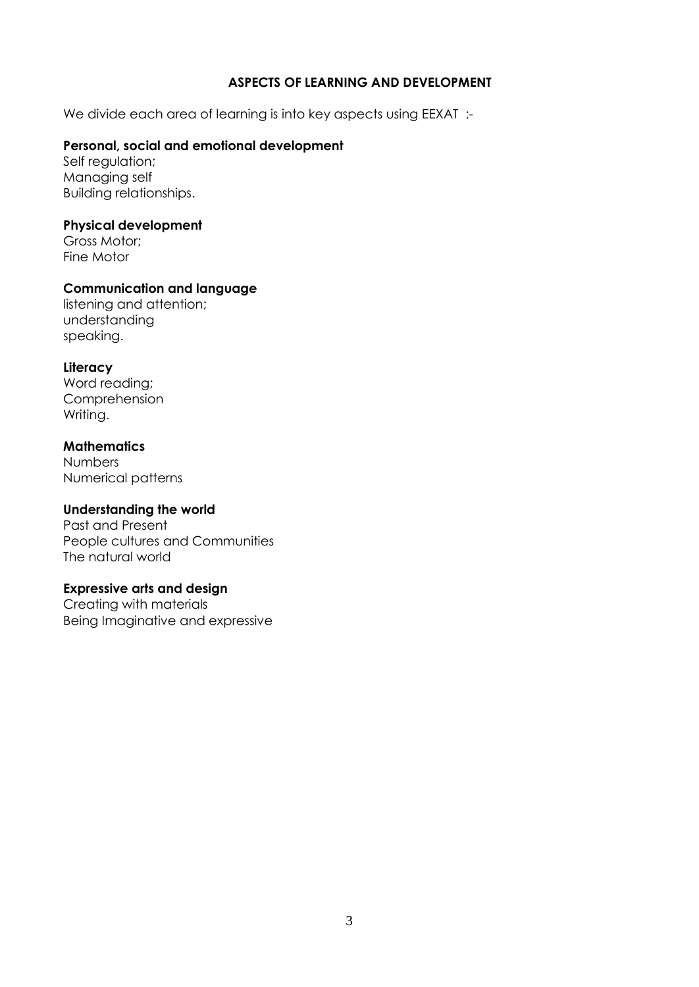## **ASPECTS OF LEARNING AND DEVELOPMENT**

We divide each area of learning is into key aspects using EEXAT :-

#### **Personal, social and emotional development**

Self regulation; Managing self Building relationships.

#### **Physical development**

Gross Motor; Fine Motor

#### **Communication and language**

listening and attention; understanding speaking.

#### **Literacy**

Word reading; Comprehension Writing.

#### **Mathematics**

Numbers Numerical patterns

## **Understanding the world**

Past and Present People cultures and Communities The natural world

#### **Expressive arts and design**

Creating with materials Being Imaginative and expressive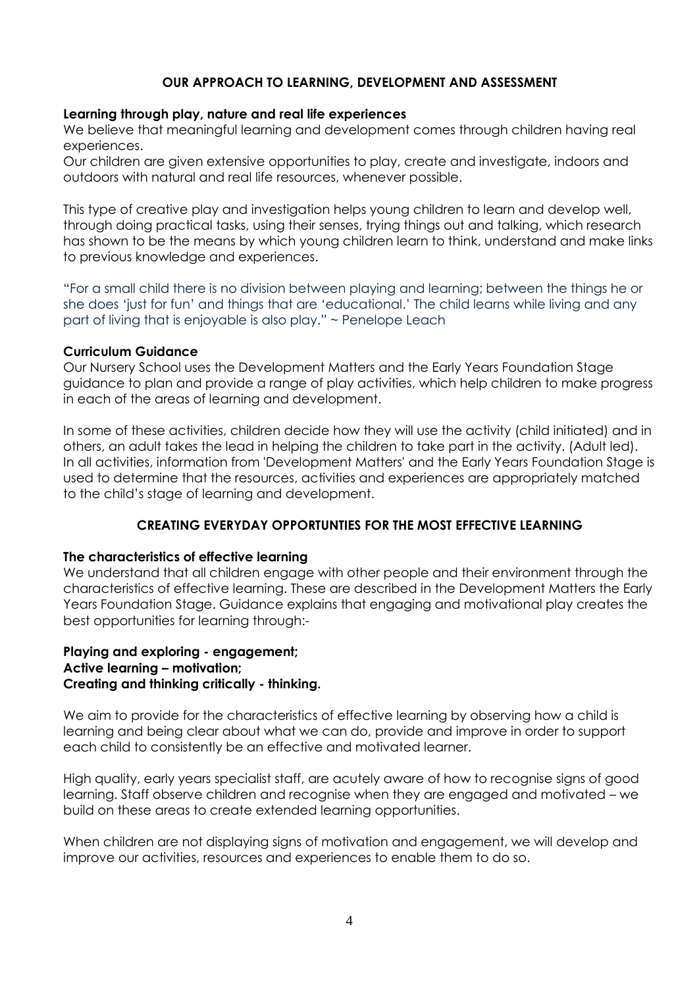## **OUR APPROACH TO LEARNING, DEVELOPMENT AND ASSESSMENT**

#### **Learning through play, nature and real life experiences**

We believe that meaningful learning and development comes through children having real experiences.

Our children are given extensive opportunities to play, create and investigate, indoors and outdoors with natural and real life resources, whenever possible.

This type of creative play and investigation helps young children to learn and develop well, through doing practical tasks, using their senses, trying things out and talking, which research has shown to be the means by which young children learn to think, understand and make links to previous knowledge and experiences.

"For a small child there is no division between playing and learning; between the things he or she does 'just for fun' and things that are 'educational.' The child learns while living and any part of living that is enjoyable is also play." ~ Penelope Leach

#### **Curriculum Guidance**

Our Nursery School uses the Development Matters and the Early Years Foundation Stage guidance to plan and provide a range of play activities, which help children to make progress in each of the areas of learning and development.

In some of these activities, children decide how they will use the activity (child initiated) and in others, an adult takes the lead in helping the children to take part in the activity. (Adult led). In all activities, information from 'Development Matters' and the Early Years Foundation Stage is used to determine that the resources, activities and experiences are appropriately matched to the child's stage of learning and development.

## **CREATING EVERYDAY OPPORTUNTIES FOR THE MOST EFFECTIVE LEARNING**

#### **The characteristics of effective learning**

We understand that all children engage with other people and their environment through the characteristics of effective learning. These are described in the Development Matters the Early Years Foundation Stage. Guidance explains that engaging and motivational play creates the best opportunities for learning through:-

#### **Playing and exploring - engagement; Active learning – motivation; Creating and thinking critically - thinking.**

We aim to provide for the characteristics of effective learning by observing how a child is learning and being clear about what we can do, provide and improve in order to support each child to consistently be an effective and motivated learner.

High quality, early years specialist staff, are acutely aware of how to recognise signs of good learning. Staff observe children and recognise when they are engaged and motivated – we build on these areas to create extended learning opportunities.

When children are not displaying signs of motivation and engagement, we will develop and improve our activities, resources and experiences to enable them to do so.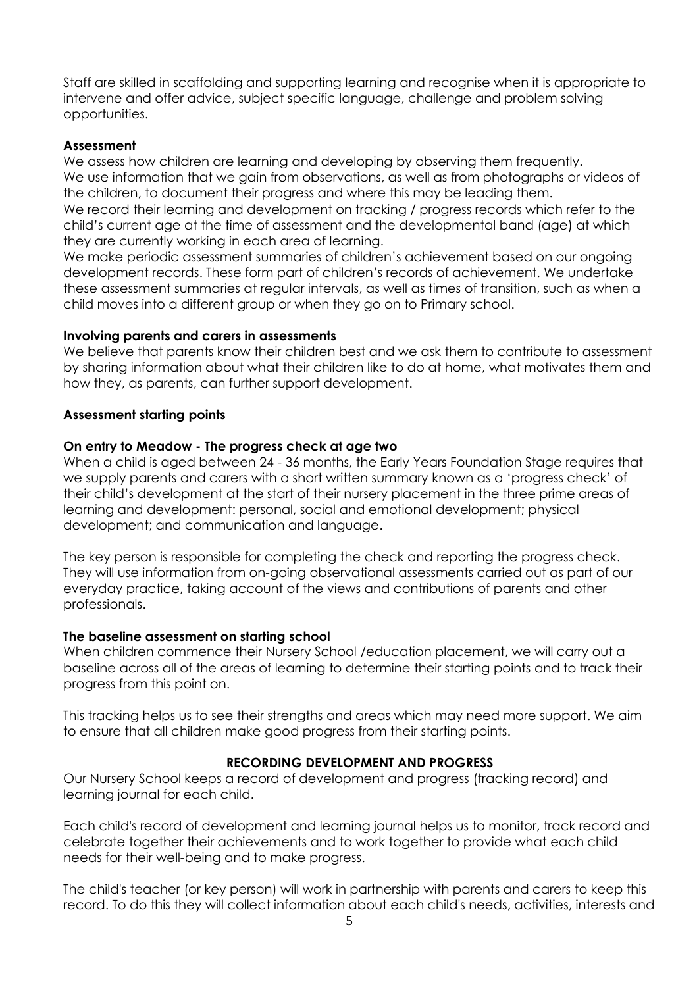Staff are skilled in scaffolding and supporting learning and recognise when it is appropriate to intervene and offer advice, subject specific language, challenge and problem solving opportunities.

#### **Assessment**

We assess how children are learning and developing by observing them frequently. We use information that we gain from observations, as well as from photographs or videos of the children, to document their progress and where this may be leading them.

We record their learning and development on tracking / progress records which refer to the child's current age at the time of assessment and the developmental band (age) at which they are currently working in each area of learning.

We make periodic assessment summaries of children's achievement based on our ongoing development records. These form part of children's records of achievement. We undertake these assessment summaries at regular intervals, as well as times of transition, such as when a child moves into a different group or when they go on to Primary school.

#### **Involving parents and carers in assessments**

We believe that parents know their children best and we ask them to contribute to assessment by sharing information about what their children like to do at home, what motivates them and how they, as parents, can further support development.

#### **Assessment starting points**

#### **On entry to Meadow - The progress check at age two**

When a child is aged between 24 - 36 months, the Early Years Foundation Stage requires that we supply parents and carers with a short written summary known as a 'progress check' of their child's development at the start of their nursery placement in the three prime areas of learning and development: personal, social and emotional development; physical development; and communication and language.

The key person is responsible for completing the check and reporting the progress check. They will use information from on-going observational assessments carried out as part of our everyday practice, taking account of the views and contributions of parents and other professionals.

## **The baseline assessment on starting school**

When children commence their Nursery School /education placement, we will carry out a baseline across all of the areas of learning to determine their starting points and to track their progress from this point on.

This tracking helps us to see their strengths and areas which may need more support. We aim to ensure that all children make good progress from their starting points.

## **RECORDING DEVELOPMENT AND PROGRESS**

Our Nursery School keeps a record of development and progress (tracking record) and learning journal for each child.

Each child's record of development and learning journal helps us to monitor, track record and celebrate together their achievements and to work together to provide what each child needs for their well-being and to make progress.

The child's teacher (or key person) will work in partnership with parents and carers to keep this record. To do this they will collect information about each child's needs, activities, interests and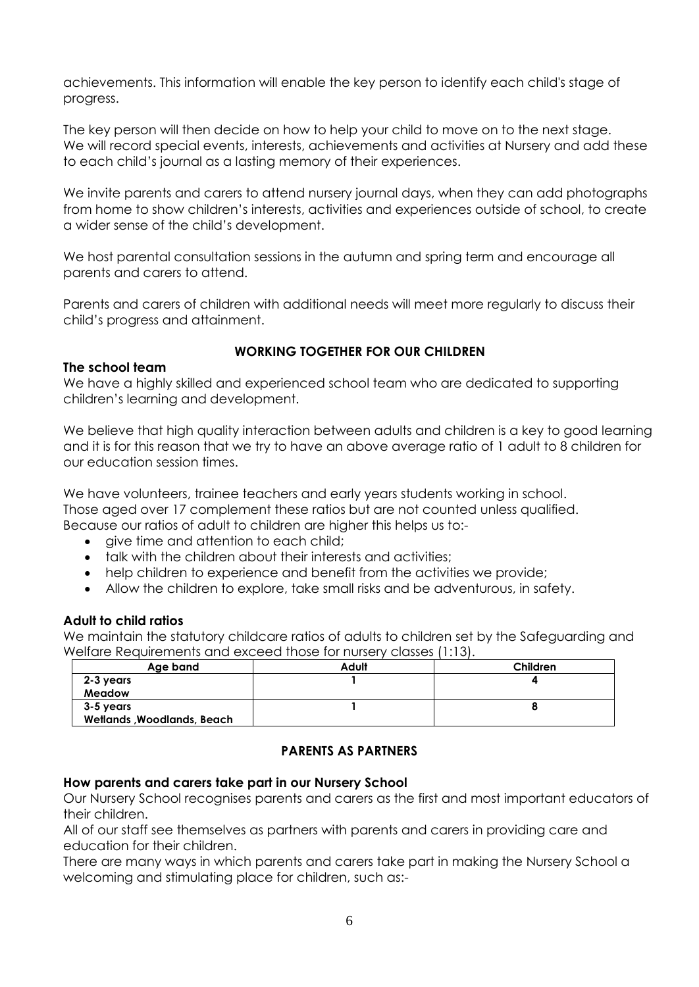achievements. This information will enable the key person to identify each child's stage of progress.

The key person will then decide on how to help your child to move on to the next stage. We will record special events, interests, achievements and activities at Nursery and add these to each child's journal as a lasting memory of their experiences.

We invite parents and carers to attend nursery journal days, when they can add photographs from home to show children's interests, activities and experiences outside of school, to create a wider sense of the child's development.

We host parental consultation sessions in the autumn and spring term and encourage all parents and carers to attend.

Parents and carers of children with additional needs will meet more regularly to discuss their child's progress and attainment.

#### **The school team**

## **WORKING TOGETHER FOR OUR CHILDREN**

We have a highly skilled and experienced school team who are dedicated to supporting children's learning and development.

We believe that high quality interaction between adults and children is a key to good learning and it is for this reason that we try to have an above average ratio of 1 adult to 8 children for our education session times.

We have volunteers, trainee teachers and early years students working in school. Those aged over 17 complement these ratios but are not counted unless qualified. Because our ratios of adult to children are higher this helps us to:-

- give time and attention to each child;
- talk with the children about their interests and activities;
- help children to experience and benefit from the activities we provide;
- Allow the children to explore, take small risks and be adventurous, in safety.

#### **Adult to child ratios**

We maintain the statutory childcare ratios of adults to children set by the Safeguarding and Welfare Requirements and exceed those for nursery classes (1:13).

| Age band                          | Adult | <b>Children</b> |
|-----------------------------------|-------|-----------------|
| 2-3 years                         |       |                 |
| Meadow                            |       |                 |
| 3-5 years                         |       |                 |
| <b>Wetlands, Woodlands, Beach</b> |       |                 |

## **PARENTS AS PARTNERS**

#### **How parents and carers take part in our Nursery School**

Our Nursery School recognises parents and carers as the first and most important educators of their children.

All of our staff see themselves as partners with parents and carers in providing care and education for their children.

There are many ways in which parents and carers take part in making the Nursery School a welcoming and stimulating place for children, such as:-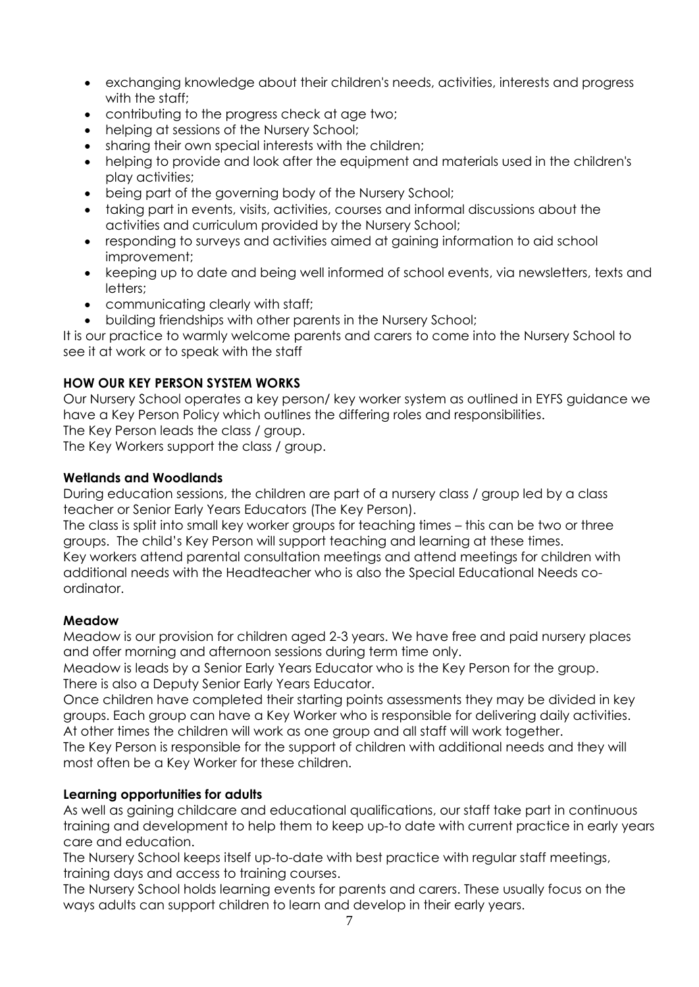- exchanging knowledge about their children's needs, activities, interests and progress with the staff;
- contributing to the progress check at age two;
- helping at sessions of the Nursery School:
- sharing their own special interests with the children;
- helping to provide and look after the equipment and materials used in the children's play activities;
- being part of the governing body of the Nursery School;
- taking part in events, visits, activities, courses and informal discussions about the activities and curriculum provided by the Nursery School;
- responding to surveys and activities aimed at gaining information to aid school improvement;
- keeping up to date and being well informed of school events, via newsletters, texts and letters;
- communicating clearly with staff;
- building friendships with other parents in the Nursery School;

It is our practice to warmly welcome parents and carers to come into the Nursery School to see it at work or to speak with the staff

## **HOW OUR KEY PERSON SYSTEM WORKS**

Our Nursery School operates a key person/ key worker system as outlined in EYFS guidance we have a Key Person Policy which outlines the differing roles and responsibilities.

The Key Person leads the class / group.

The Key Workers support the class / group.

## **Wetlands and Woodlands**

During education sessions, the children are part of a nursery class / group led by a class teacher or Senior Early Years Educators (The Key Person).

The class is split into small key worker groups for teaching times – this can be two or three groups. The child's Key Person will support teaching and learning at these times. Key workers attend parental consultation meetings and attend meetings for children with additional needs with the Headteacher who is also the Special Educational Needs coordinator.

## **Meadow**

Meadow is our provision for children aged 2-3 years. We have free and paid nursery places and offer morning and afternoon sessions during term time only.

Meadow is leads by a Senior Early Years Educator who is the Key Person for the group. There is also a Deputy Senior Early Years Educator.

Once children have completed their starting points assessments they may be divided in key groups. Each group can have a Key Worker who is responsible for delivering daily activities. At other times the children will work as one group and all staff will work together.

The Key Person is responsible for the support of children with additional needs and they will most often be a Key Worker for these children.

## **Learning opportunities for adults**

As well as gaining childcare and educational qualifications, our staff take part in continuous training and development to help them to keep up-to date with current practice in early years care and education.

The Nursery School keeps itself up-to-date with best practice with regular staff meetings, training days and access to training courses.

The Nursery School holds learning events for parents and carers. These usually focus on the ways adults can support children to learn and develop in their early years.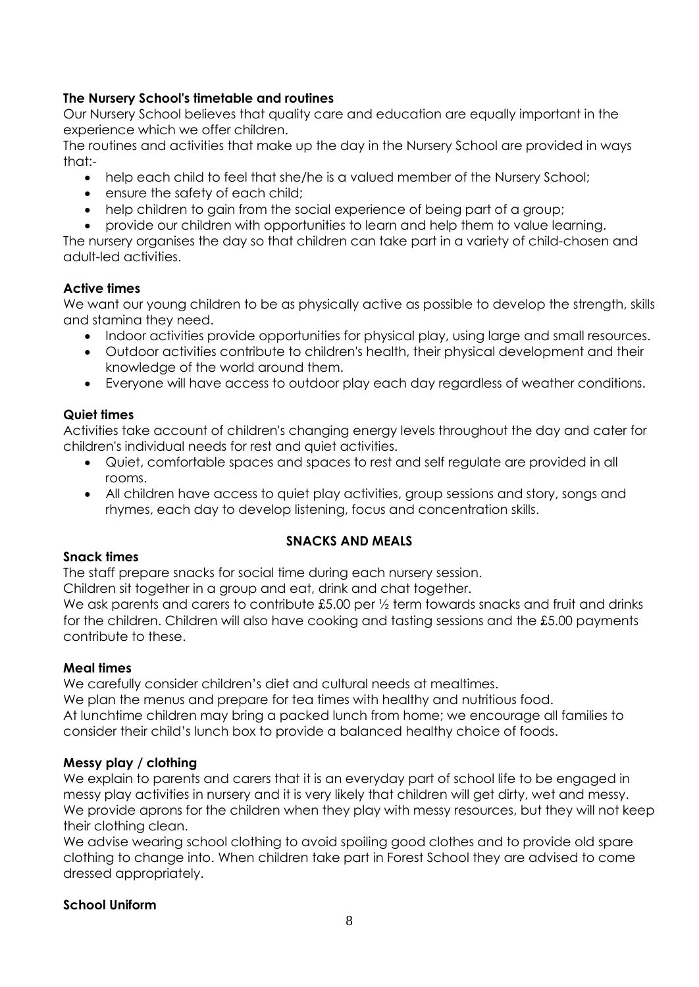## **The Nursery School's timetable and routines**

Our Nursery School believes that quality care and education are equally important in the experience which we offer children.

The routines and activities that make up the day in the Nursery School are provided in ways that:-

- help each child to feel that she/he is a valued member of the Nursery School;
- ensure the safety of each child;
- help children to gain from the social experience of being part of a group;
- provide our children with opportunities to learn and help them to value learning.

The nursery organises the day so that children can take part in a variety of child-chosen and adult-led activities.

## **Active times**

We want our young children to be as physically active as possible to develop the strength, skills and stamina they need.

- Indoor activities provide opportunities for physical play, using large and small resources.
- Outdoor activities contribute to children's health, their physical development and their knowledge of the world around them.
- Everyone will have access to outdoor play each day regardless of weather conditions.

## **Quiet times**

Activities take account of children's changing energy levels throughout the day and cater for children's individual needs for rest and quiet activities.

- Quiet, comfortable spaces and spaces to rest and self regulate are provided in all rooms.
- All children have access to quiet play activities, group sessions and story, songs and rhymes, each day to develop listening, focus and concentration skills.

## **SNACKS AND MEALS**

## **Snack times**

The staff prepare snacks for social time during each nursery session.

Children sit together in a group and eat, drink and chat together.

We ask parents and carers to contribute £5.00 per  $\frac{1}{2}$  term towards snacks and fruit and drinks for the children. Children will also have cooking and tasting sessions and the £5.00 payments contribute to these.

## **Meal times**

We carefully consider children's diet and cultural needs at mealtimes.

We plan the menus and prepare for tea times with healthy and nutritious food. At lunchtime children may bring a packed lunch from home; we encourage all families to consider their child's lunch box to provide a balanced healthy choice of foods.

## **Messy play / clothing**

We explain to parents and carers that it is an everyday part of school life to be engaged in messy play activities in nursery and it is very likely that children will get dirty, wet and messy. We provide aprons for the children when they play with messy resources, but they will not keep their clothing clean.

We advise wearing school clothing to avoid spoiling good clothes and to provide old spare clothing to change into. When children take part in Forest School they are advised to come dressed appropriately.

## **School Uniform**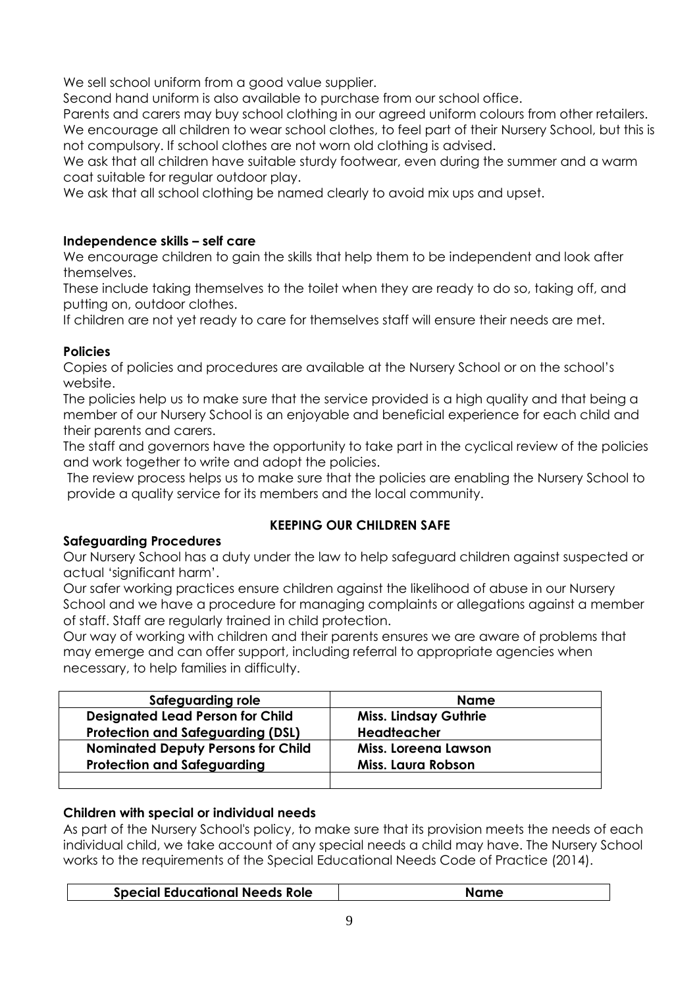We sell school uniform from a good value supplier.

Second hand uniform is also available to purchase from our school office.

Parents and carers may buy school clothing in our agreed uniform colours from other retailers. We encourage all children to wear school clothes, to feel part of their Nursery School, but this is not compulsory. If school clothes are not worn old clothing is advised.

We ask that all children have suitable sturdy footwear, even during the summer and a warm coat suitable for regular outdoor play.

We ask that all school clothing be named clearly to avoid mix ups and upset.

## **Independence skills – self care**

We encourage children to gain the skills that help them to be independent and look after themselves.

These include taking themselves to the toilet when they are ready to do so, taking off, and putting on, outdoor clothes.

If children are not yet ready to care for themselves staff will ensure their needs are met.

# **Policies**

Copies of policies and procedures are available at the Nursery School or on the school's website.

The policies help us to make sure that the service provided is a high quality and that being a member of our Nursery School is an enjoyable and beneficial experience for each child and their parents and carers.

The staff and governors have the opportunity to take part in the cyclical review of the policies and work together to write and adopt the policies.

The review process helps us to make sure that the policies are enabling the Nursery School to provide a quality service for its members and the local community.

# **Safeguarding Procedures**

# **KEEPING OUR CHILDREN SAFE**

Our Nursery School has a duty under the law to help safeguard children against suspected or actual 'significant harm'.

Our safer working practices ensure children against the likelihood of abuse in our Nursery School and we have a procedure for managing complaints or allegations against a member of staff. Staff are regularly trained in child protection.

Our way of working with children and their parents ensures we are aware of problems that may emerge and can offer support, including referral to appropriate agencies when necessary, to help families in difficulty.

| Safeguarding role                         | <b>Name</b>                  |
|-------------------------------------------|------------------------------|
| <b>Designated Lead Person for Child</b>   | <b>Miss. Lindsay Guthrie</b> |
| <b>Protection and Safeguarding (DSL)</b>  | <b>Headteacher</b>           |
| <b>Nominated Deputy Persons for Child</b> | Miss. Loreena Lawson         |
| <b>Protection and Safeguarding</b>        | Miss. Laura Robson           |
|                                           |                              |

# **Children with special or individual needs**

As part of the Nursery School's policy, to make sure that its provision meets the needs of each individual child, we take account of any special needs a child may have. The Nursery School works to the requirements of the Special Educational Needs Code of Practice (2014).

| <b>Special Educational Needs Role</b> |
|---------------------------------------|
|---------------------------------------|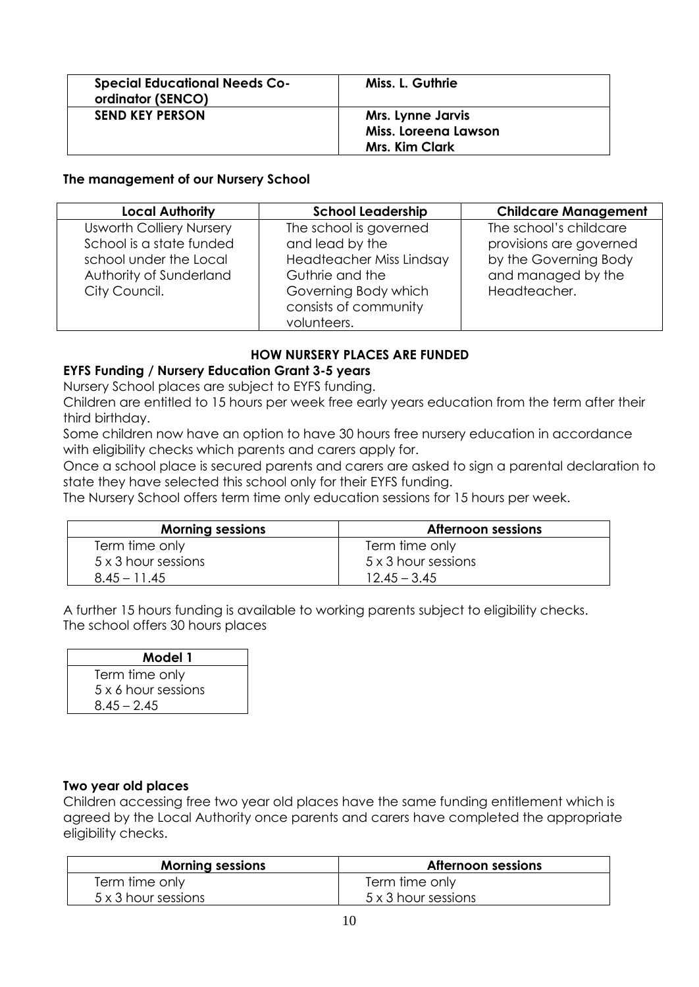| <b>Special Educational Needs Co-</b><br>ordinator (SENCO) | Miss. L. Guthrie                                                          |
|-----------------------------------------------------------|---------------------------------------------------------------------------|
| <b>SEND KEY PERSON</b>                                    | <b>Mrs. Lynne Jarvis</b><br>Miss. Loreena Lawson<br><b>Mrs. Kim Clark</b> |

#### **The management of our Nursery School**

| <b>Local Authority</b>                                                                | <b>School Leadership</b>                                                        | <b>Childcare Management</b>                                                |
|---------------------------------------------------------------------------------------|---------------------------------------------------------------------------------|----------------------------------------------------------------------------|
| <b>Usworth Colliery Nursery</b><br>School is a state funded<br>school under the Local | The school is governed<br>and lead by the<br>Headteacher Miss Lindsay           | The school's childcare<br>provisions are governed<br>by the Governing Body |
| Authority of Sunderland<br>City Council.                                              | Guthrie and the<br>Governing Body which<br>consists of community<br>volunteers. | and managed by the<br>Headteacher.                                         |

## **HOW NURSERY PLACES ARE FUNDED**

#### **EYFS Funding / Nursery Education Grant 3-5 years**

Nursery School places are subject to EYFS funding.

Children are entitled to 15 hours per week free early years education from the term after their third birthday.

Some children now have an option to have 30 hours free nursery education in accordance with eligibility checks which parents and carers apply for.

Once a school place is secured parents and carers are asked to sign a parental declaration to state they have selected this school only for their EYFS funding.

The Nursery School offers term time only education sessions for 15 hours per week.

| <b>Morning sessions</b> | <b>Afternoon sessions</b> |
|-------------------------|---------------------------|
| Term time only          | Term time only            |
| 5 x 3 hour sessions     | 5 x 3 hour sessions       |
| $8.45 - 11.45$          | $12.45 - 3.45$            |

A further 15 hours funding is available to working parents subject to eligibility checks. The school offers 30 hours places

| Model 1             |  |
|---------------------|--|
| Term time only      |  |
| 5 x 6 hour sessions |  |
| $8.45 - 2.45$       |  |

## **Two year old places**

Children accessing free two year old places have the same funding entitlement which is agreed by the Local Authority once parents and carers have completed the appropriate eligibility checks.

| <b>Morning sessions</b> | Afternoon sessions  |
|-------------------------|---------------------|
| Term time only          | Term time only      |
| 5 x 3 hour sessions     | 5 x 3 hour sessions |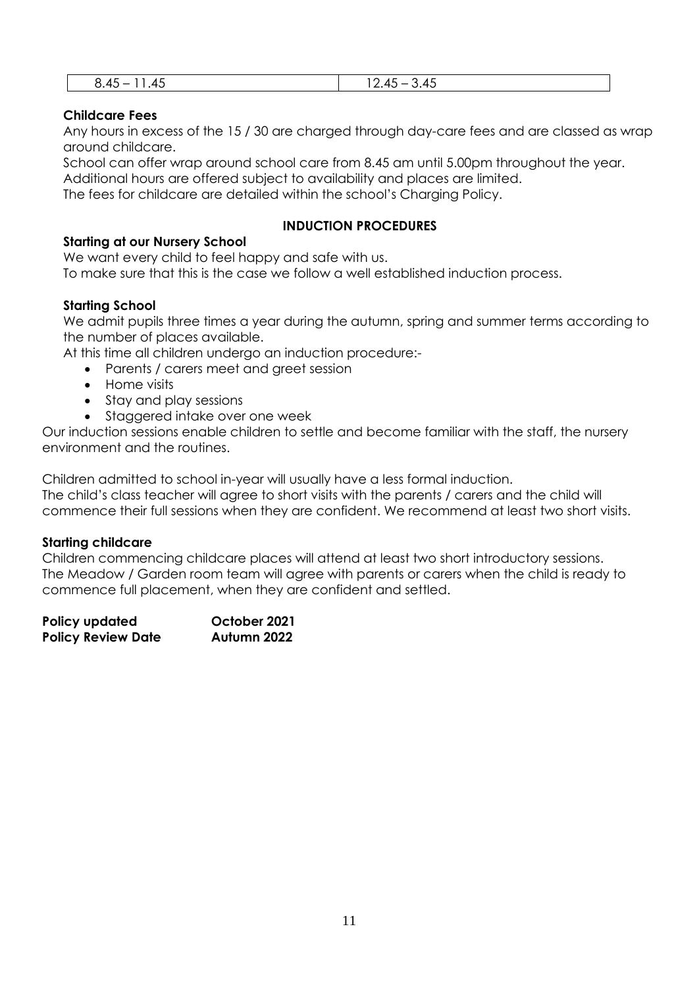| ີ         | $\sim$        |
|-----------|---------------|
| o.        | .             |
| <b>LL</b> | ີ             |
| ᠇         | . .           |
| ᠇◡        | $\sim$ $\sim$ |
|           | ____          |

## **Childcare Fees**

Any hours in excess of the 15 / 30 are charged through day-care fees and are classed as wrap around childcare.

School can offer wrap around school care from 8.45 am until 5.00pm throughout the year. Additional hours are offered subject to availability and places are limited.

The fees for childcare are detailed within the school's Charging Policy.

## **INDUCTION PROCEDURES**

## **Starting at our Nursery School**

We want every child to feel happy and safe with us.

To make sure that this is the case we follow a well established induction process.

## **Starting School**

We admit pupils three times a year during the autumn, spring and summer terms according to the number of places available.

At this time all children undergo an induction procedure:-

- Parents / carers meet and greet session
- Home visits
- Stay and play sessions
- Staggered intake over one week

Our induction sessions enable children to settle and become familiar with the staff, the nursery environment and the routines.

Children admitted to school in-year will usually have a less formal induction.

The child's class teacher will agree to short visits with the parents / carers and the child will commence their full sessions when they are confident. We recommend at least two short visits.

## **Starting childcare**

Children commencing childcare places will attend at least two short introductory sessions. The Meadow / Garden room team will agree with parents or carers when the child is ready to commence full placement, when they are confident and settled.

| Policy updated            | October 2021 |
|---------------------------|--------------|
| <b>Policy Review Date</b> | Autumn 2022  |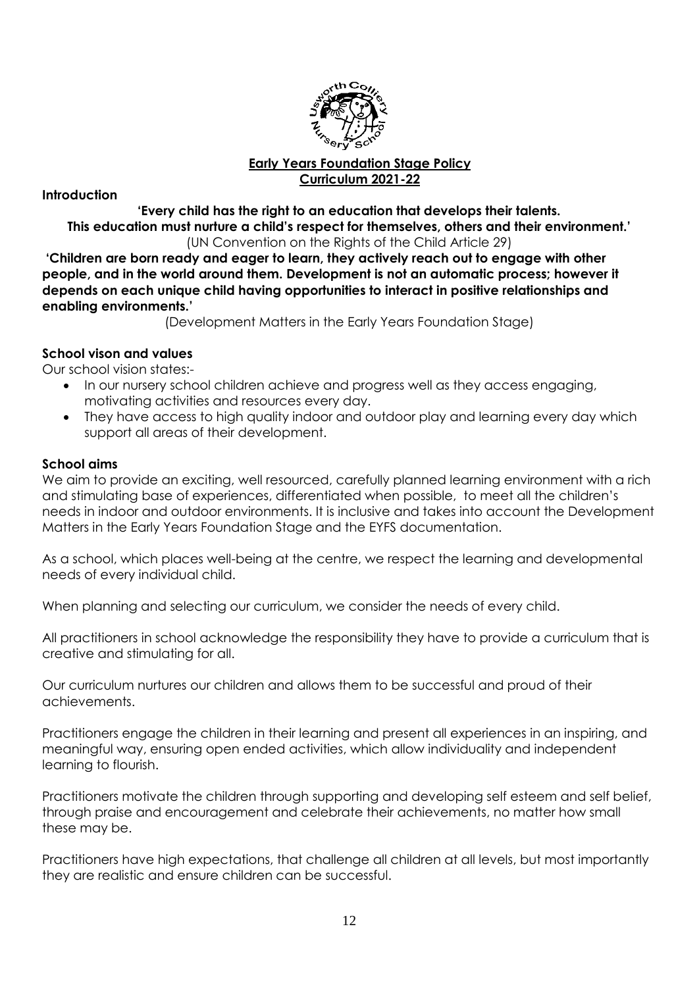

## **Early Years Foundation Stage Policy Curriculum 2021-22**

**Introduction**

**'Every child has the right to an education that develops their talents. This education must nurture a child's respect for themselves, others and their environment.'** (UN Convention on the Rights of the Child Article 29)

**'Children are born ready and eager to learn, they actively reach out to engage with other people, and in the world around them. Development is not an automatic process; however it depends on each unique child having opportunities to interact in positive relationships and enabling environments.'**

(Development Matters in the Early Years Foundation Stage)

## **School vison and values**

Our school vision states:-

- In our nursery school children achieve and progress well as they access engaging, motivating activities and resources every day.
- They have access to high quality indoor and outdoor play and learning every day which support all areas of their development.

#### **School aims**

We aim to provide an exciting, well resourced, carefully planned learning environment with a rich and stimulating base of experiences, differentiated when possible, to meet all the children's needs in indoor and outdoor environments. It is inclusive and takes into account the Development Matters in the Early Years Foundation Stage and the EYFS documentation.

As a school, which places well-being at the centre, we respect the learning and developmental needs of every individual child.

When planning and selecting our curriculum, we consider the needs of every child.

All practitioners in school acknowledge the responsibility they have to provide a curriculum that is creative and stimulating for all.

Our curriculum nurtures our children and allows them to be successful and proud of their achievements.

Practitioners engage the children in their learning and present all experiences in an inspiring, and meaningful way, ensuring open ended activities, which allow individuality and independent learning to flourish.

Practitioners motivate the children through supporting and developing self esteem and self belief, through praise and encouragement and celebrate their achievements, no matter how small these may be.

Practitioners have high expectations, that challenge all children at all levels, but most importantly they are realistic and ensure children can be successful.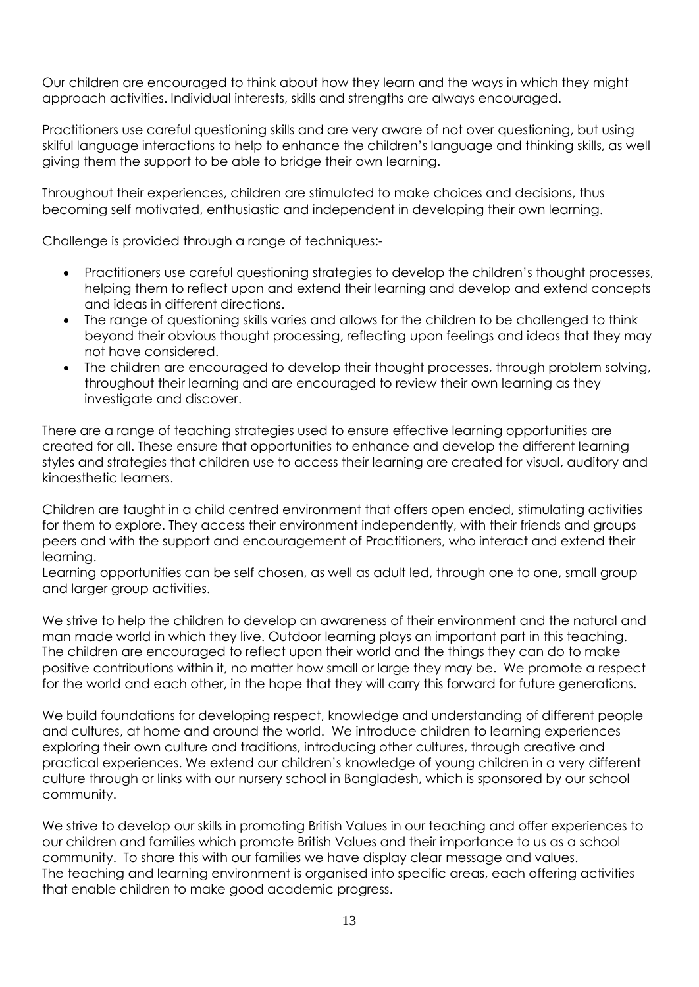Our children are encouraged to think about how they learn and the ways in which they might approach activities. Individual interests, skills and strengths are always encouraged.

Practitioners use careful questioning skills and are very aware of not over questioning, but using skilful language interactions to help to enhance the children's language and thinking skills, as well giving them the support to be able to bridge their own learning.

Throughout their experiences, children are stimulated to make choices and decisions, thus becoming self motivated, enthusiastic and independent in developing their own learning.

Challenge is provided through a range of techniques:-

- Practitioners use careful questioning strategies to develop the children's thought processes, helping them to reflect upon and extend their learning and develop and extend concepts and ideas in different directions.
- The range of questioning skills varies and allows for the children to be challenged to think beyond their obvious thought processing, reflecting upon feelings and ideas that they may not have considered.
- The children are encouraged to develop their thought processes, through problem solving, throughout their learning and are encouraged to review their own learning as they investigate and discover.

There are a range of teaching strategies used to ensure effective learning opportunities are created for all. These ensure that opportunities to enhance and develop the different learning styles and strategies that children use to access their learning are created for visual, auditory and kinaesthetic learners.

Children are taught in a child centred environment that offers open ended, stimulating activities for them to explore. They access their environment independently, with their friends and groups peers and with the support and encouragement of Practitioners, who interact and extend their learning.

Learning opportunities can be self chosen, as well as adult led, through one to one, small group and larger group activities.

We strive to help the children to develop an awareness of their environment and the natural and man made world in which they live. Outdoor learning plays an important part in this teaching. The children are encouraged to reflect upon their world and the things they can do to make positive contributions within it, no matter how small or large they may be. We promote a respect for the world and each other, in the hope that they will carry this forward for future generations.

We build foundations for developing respect, knowledge and understanding of different people and cultures, at home and around the world. We introduce children to learning experiences exploring their own culture and traditions, introducing other cultures, through creative and practical experiences. We extend our children's knowledge of young children in a very different culture through or links with our nursery school in Bangladesh, which is sponsored by our school community.

We strive to develop our skills in promoting British Values in our teaching and offer experiences to our children and families which promote British Values and their importance to us as a school community. To share this with our families we have display clear message and values. The teaching and learning environment is organised into specific areas, each offering activities that enable children to make good academic progress.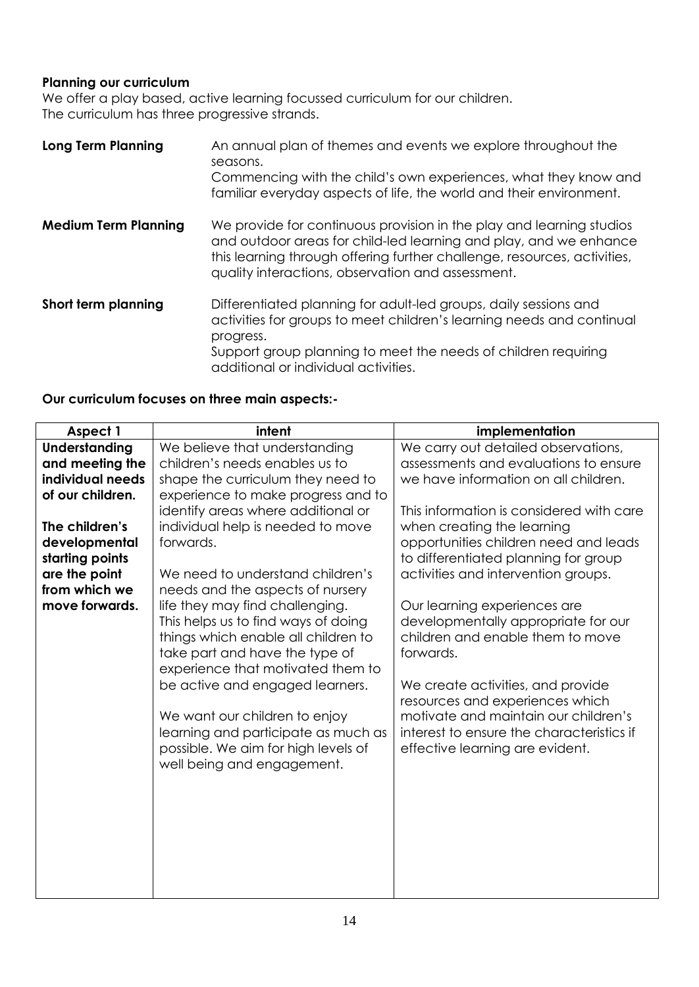## **Planning our curriculum**

We offer a play based, active learning focussed curriculum for our children. The curriculum has three progressive strands.

| <b>Long Term Planning</b>   | An annual plan of themes and events we explore throughout the<br>seasons.<br>Commencing with the child's own experiences, what they know and<br>familiar everyday aspects of life, the world and their environment.                                                        |
|-----------------------------|----------------------------------------------------------------------------------------------------------------------------------------------------------------------------------------------------------------------------------------------------------------------------|
| <b>Medium Term Planning</b> | We provide for continuous provision in the play and learning studios<br>and outdoor areas for child-led learning and play, and we enhance<br>this learning through offering further challenge, resources, activities,<br>quality interactions, observation and assessment. |
| Short term planning         | Differentiated planning for adult-led groups, daily sessions and<br>activities for groups to meet children's learning needs and continual<br>progress.<br>Support group planning to meet the needs of children requiring<br>additional or individual activities.           |

# **Our curriculum focuses on three main aspects:-**

| Aspect 1             | intent                              | implementation                                                                    |
|----------------------|-------------------------------------|-----------------------------------------------------------------------------------|
| <b>Understanding</b> | We believe that understanding       | We carry out detailed observations,                                               |
| and meeting the      | children's needs enables us to      | assessments and evaluations to ensure                                             |
| individual needs     | shape the curriculum they need to   | we have information on all children.                                              |
| of our children.     | experience to make progress and to  |                                                                                   |
|                      | identify areas where additional or  | This information is considered with care                                          |
| The children's       | individual help is needed to move   | when creating the learning                                                        |
| developmental        | forwards.                           | opportunities children need and leads                                             |
| starting points      |                                     | to differentiated planning for group                                              |
| are the point        | We need to understand children's    | activities and intervention groups.                                               |
| from which we        | needs and the aspects of nursery    |                                                                                   |
| move forwards.       | life they may find challenging.     | Our learning experiences are                                                      |
|                      | This helps us to find ways of doing | developmentally appropriate for our                                               |
|                      | things which enable all children to | children and enable them to move                                                  |
|                      | take part and have the type of      | forwards.                                                                         |
|                      | experience that motivated them to   |                                                                                   |
|                      | be active and engaged learners.     | We create activities, and provide                                                 |
|                      |                                     | resources and experiences which                                                   |
|                      | We want our children to enjoy       | motivate and maintain our children's<br>interest to ensure the characteristics if |
|                      | learning and participate as much as |                                                                                   |
|                      | possible. We aim for high levels of | effective learning are evident.                                                   |
|                      | well being and engagement.          |                                                                                   |
|                      |                                     |                                                                                   |
|                      |                                     |                                                                                   |
|                      |                                     |                                                                                   |
|                      |                                     |                                                                                   |
|                      |                                     |                                                                                   |
|                      |                                     |                                                                                   |
|                      |                                     |                                                                                   |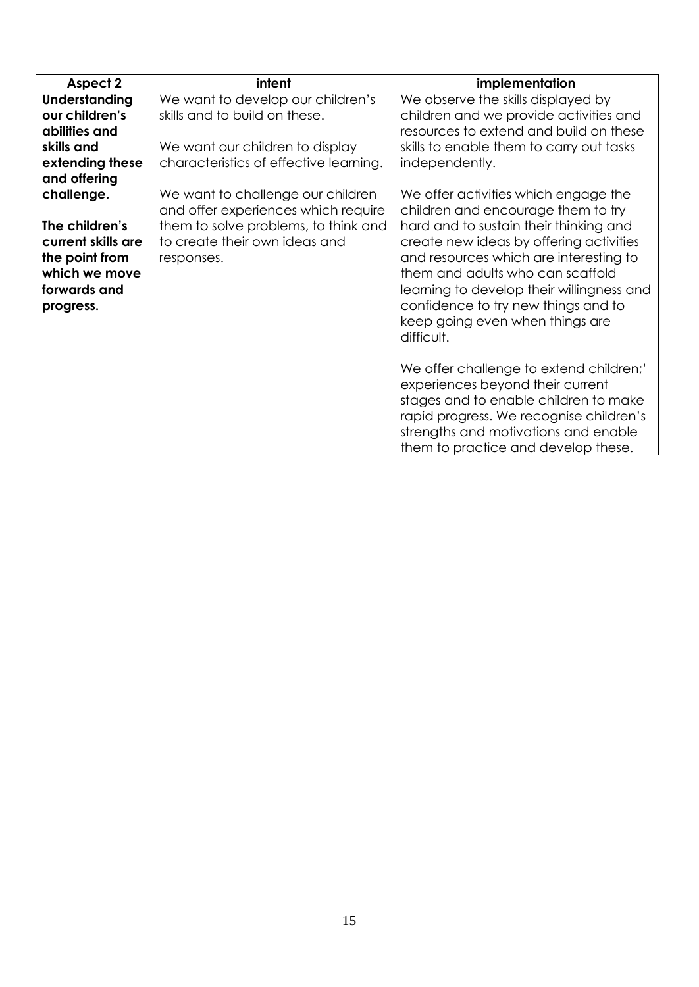| <b>Aspect 2</b>    | intent                                 | implementation                            |
|--------------------|----------------------------------------|-------------------------------------------|
| Understanding      | We want to develop our children's      | We observe the skills displayed by        |
| our children's     | skills and to build on these.          | children and we provide activities and    |
| abilities and      |                                        | resources to extend and build on these    |
| skills and         | We want our children to display        | skills to enable them to carry out tasks  |
| extending these    | characteristics of effective learning. | independently.                            |
| and offering       |                                        |                                           |
| challenge.         | We want to challenge our children      | We offer activities which engage the      |
|                    | and offer experiences which require    | children and encourage them to try        |
| The children's     | them to solve problems, to think and   | hard and to sustain their thinking and    |
| current skills are | to create their own ideas and          | create new ideas by offering activities   |
| the point from     | responses.                             | and resources which are interesting to    |
| which we move      |                                        | them and adults who can scaffold          |
| forwards and       |                                        | learning to develop their willingness and |
| progress.          |                                        | confidence to try new things and to       |
|                    |                                        | keep going even when things are           |
|                    |                                        | difficult.                                |
|                    |                                        |                                           |
|                    |                                        | We offer challenge to extend children;'   |
|                    |                                        | experiences beyond their current          |
|                    |                                        | stages and to enable children to make     |
|                    |                                        | rapid progress. We recognise children's   |
|                    |                                        | strengths and motivations and enable      |
|                    |                                        | them to practice and develop these.       |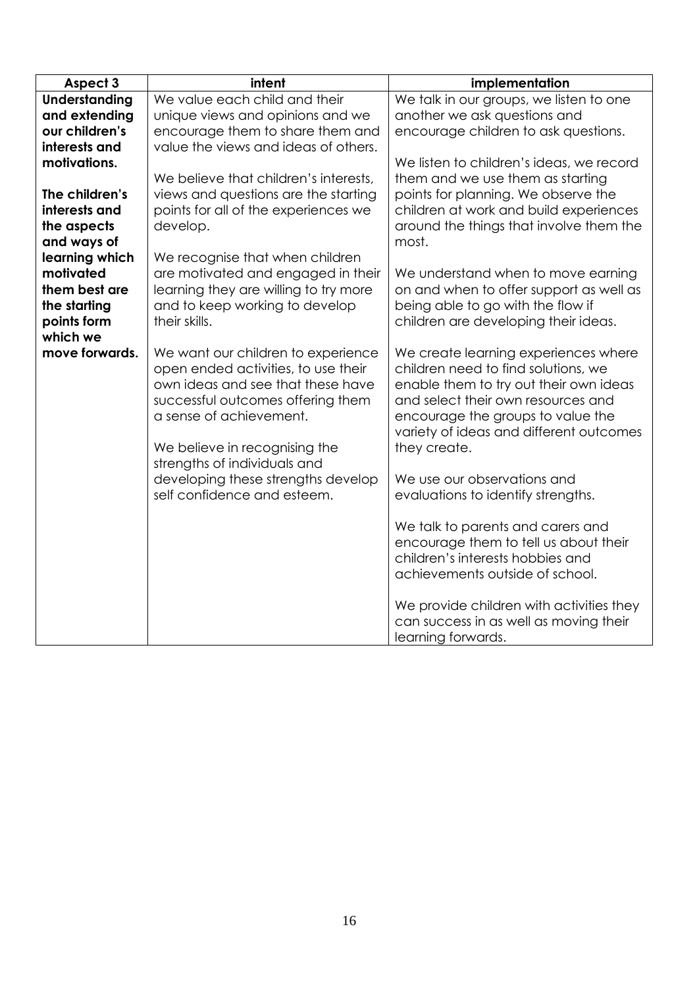| Aspect 3             | intent                                                                   | implementation                                                                |
|----------------------|--------------------------------------------------------------------------|-------------------------------------------------------------------------------|
| <b>Understanding</b> | We value each child and their                                            | We talk in our groups, we listen to one                                       |
| and extending        | unique views and opinions and we                                         | another we ask questions and                                                  |
| our children's       | encourage them to share them and                                         | encourage children to ask questions.                                          |
| interests and        | value the views and ideas of others.                                     |                                                                               |
| motivations.         |                                                                          | We listen to children's ideas, we record                                      |
|                      | We believe that children's interests,                                    | them and we use them as starting                                              |
| The children's       | views and questions are the starting                                     | points for planning. We observe the                                           |
| interests and        | points for all of the experiences we                                     | children at work and build experiences                                        |
| the aspects          | develop.                                                                 | around the things that involve them the                                       |
| and ways of          |                                                                          | most.                                                                         |
| learning which       | We recognise that when children                                          |                                                                               |
| motivated            | are motivated and engaged in their                                       | We understand when to move earning                                            |
| them best are        | learning they are willing to try more                                    | on and when to offer support as well as                                       |
| the starting         | and to keep working to develop                                           | being able to go with the flow if                                             |
| points form          | their skills.                                                            | children are developing their ideas.                                          |
| which we             |                                                                          |                                                                               |
| move forwards.       | We want our children to experience                                       | We create learning experiences where                                          |
|                      | open ended activities, to use their<br>own ideas and see that these have | children need to find solutions, we<br>enable them to try out their own ideas |
|                      | successful outcomes offering them                                        | and select their own resources and                                            |
|                      | a sense of achievement.                                                  | encourage the groups to value the                                             |
|                      |                                                                          | variety of ideas and different outcomes                                       |
|                      | We believe in recognising the                                            | they create.                                                                  |
|                      | strengths of individuals and                                             |                                                                               |
|                      | developing these strengths develop                                       | We use our observations and                                                   |
|                      | self confidence and esteem.                                              | evaluations to identify strengths.                                            |
|                      |                                                                          |                                                                               |
|                      |                                                                          | We talk to parents and carers and                                             |
|                      |                                                                          | encourage them to tell us about their                                         |
|                      |                                                                          | children's interests hobbies and                                              |
|                      |                                                                          | achievements outside of school.                                               |
|                      |                                                                          |                                                                               |
|                      |                                                                          | We provide children with activities they                                      |
|                      |                                                                          | can success in as well as moving their                                        |
|                      |                                                                          | learning forwards.                                                            |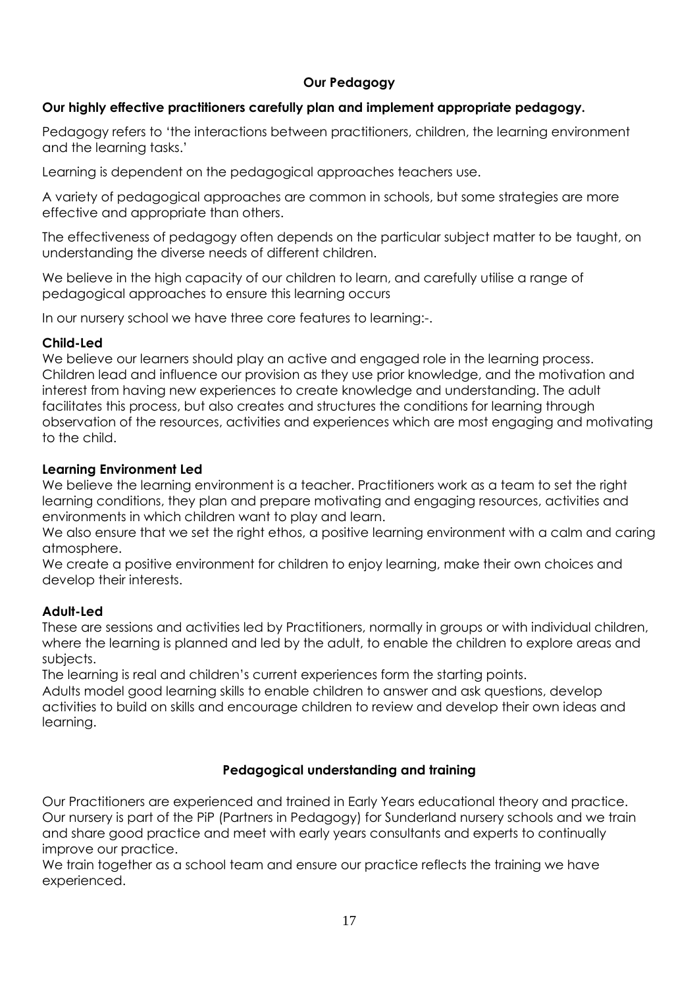# **Our Pedagogy**

## **Our highly effective practitioners carefully plan and implement appropriate pedagogy.**

Pedagogy refers to 'the interactions between practitioners, children, the learning environment and the learning tasks.'

Learning is dependent on the pedagogical approaches teachers use.

A variety of pedagogical approaches are common in schools, but some strategies are more effective and appropriate than others.

The effectiveness of pedagogy often depends on the particular subject matter to be taught, on understanding the diverse needs of different children.

We believe in the high capacity of our children to learn, and carefully utilise a range of pedagogical approaches to ensure this learning occurs

In our nursery school we have three core features to learning:-.

## **Child-Led**

We believe our learners should play an active and engaged role in the learning process. Children lead and influence our provision as they use prior knowledge, and the motivation and interest from having new experiences to create knowledge and understanding. The adult facilitates this process, but also creates and structures the conditions for learning through observation of the resources, activities and experiences which are most engaging and motivating to the child.

## **Learning Environment Led**

We believe the learning environment is a teacher. Practitioners work as a team to set the right learning conditions, they plan and prepare motivating and engaging resources, activities and environments in which children want to play and learn.

We also ensure that we set the right ethos, a positive learning environment with a calm and caring atmosphere.

We create a positive environment for children to enjoy learning, make their own choices and develop their interests.

## **Adult-Led**

These are sessions and activities led by Practitioners, normally in groups or with individual children, where the learning is planned and led by the adult, to enable the children to explore areas and subjects.

The learning is real and children's current experiences form the starting points.

Adults model good learning skills to enable children to answer and ask questions, develop activities to build on skills and encourage children to review and develop their own ideas and learning.

## **Pedagogical understanding and training**

Our Practitioners are experienced and trained in Early Years educational theory and practice. Our nursery is part of the PiP (Partners in Pedagogy) for Sunderland nursery schools and we train and share good practice and meet with early years consultants and experts to continually improve our practice.

We train together as a school team and ensure our practice reflects the training we have experienced.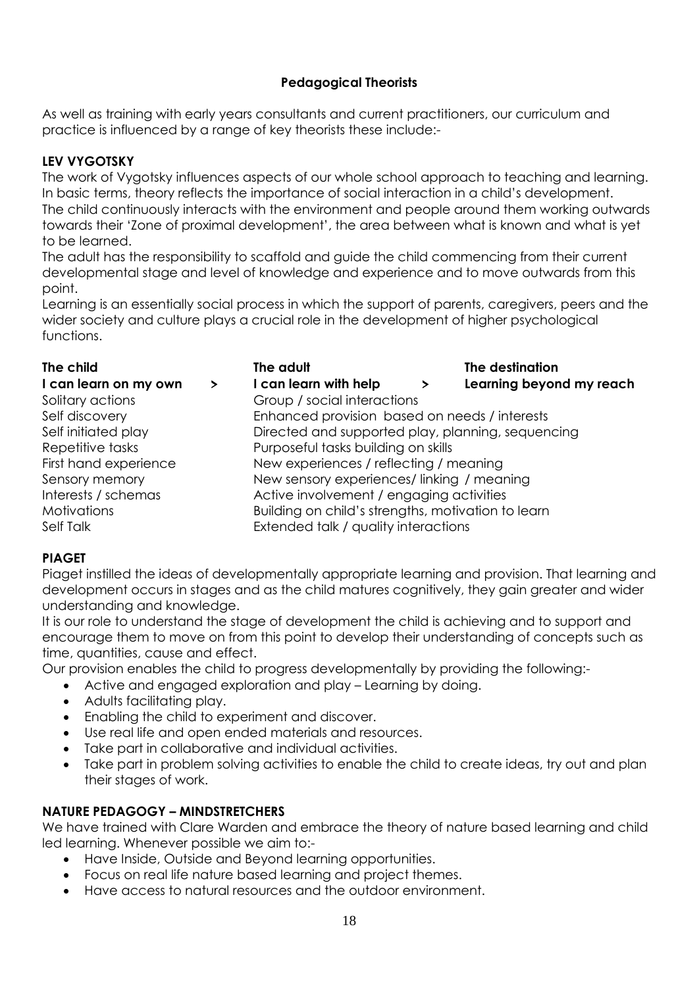# **Pedagogical Theorists**

As well as training with early years consultants and current practitioners, our curriculum and practice is influenced by a range of key theorists these include:-

# **LEV VYGOTSKY**

The work of Vygotsky influences aspects of our whole school approach to teaching and learning. In basic terms, theory reflects the importance of social interaction in a child's development. The child continuously interacts with the environment and people around them working outwards towards their 'Zone of proximal development', the area between what is known and what is yet to be learned.

The adult has the responsibility to scaffold and guide the child commencing from their current developmental stage and level of knowledge and experience and to move outwards from this point.

Learning is an essentially social process in which the support of parents, caregivers, peers and the wider society and culture plays a crucial role in the development of higher psychological functions.

| The child             |   | The adult                                         | The destination                                    |  |
|-----------------------|---|---------------------------------------------------|----------------------------------------------------|--|
| I can learn on my own | ≻ | I can learn with help                             | Learning beyond my reach<br>≻                      |  |
| Solitary actions      |   | Group / social interactions                       |                                                    |  |
| Self discovery        |   | Enhanced provision based on needs / interests     |                                                    |  |
| Self initiated play   |   | Directed and supported play, planning, sequencing |                                                    |  |
| Repetitive tasks      |   | Purposeful tasks building on skills               |                                                    |  |
| First hand experience |   | New experiences / reflecting / meaning            |                                                    |  |
| Sensory memory        |   | New sensory experiences/linking / meaning         |                                                    |  |
| Interests / schemas   |   | Active involvement / engaging activities          |                                                    |  |
| <b>Motivations</b>    |   |                                                   | Building on child's strengths, motivation to learn |  |
| Self Talk             |   | Extended talk / quality interactions              |                                                    |  |

## **PIAGET**

Piaget instilled the ideas of developmentally appropriate learning and provision. That learning and development occurs in stages and as the child matures cognitively, they gain greater and wider understanding and knowledge.

It is our role to understand the stage of development the child is achieving and to support and encourage them to move on from this point to develop their understanding of concepts such as time, quantities, cause and effect.

Our provision enables the child to progress developmentally by providing the following:-

- Active and engaged exploration and play Learning by doing.
- Adults facilitating play.
- Enabling the child to experiment and discover.
- Use real life and open ended materials and resources.
- Take part in collaborative and individual activities.
- Take part in problem solving activities to enable the child to create ideas, try out and plan their stages of work.

## **NATURE PEDAGOGY – MINDSTRETCHERS**

We have trained with Clare Warden and embrace the theory of nature based learning and child led learning. Whenever possible we aim to:-

- Have Inside, Outside and Beyond learning opportunities.
- Focus on real life nature based learning and project themes.
- Have access to natural resources and the outdoor environment.